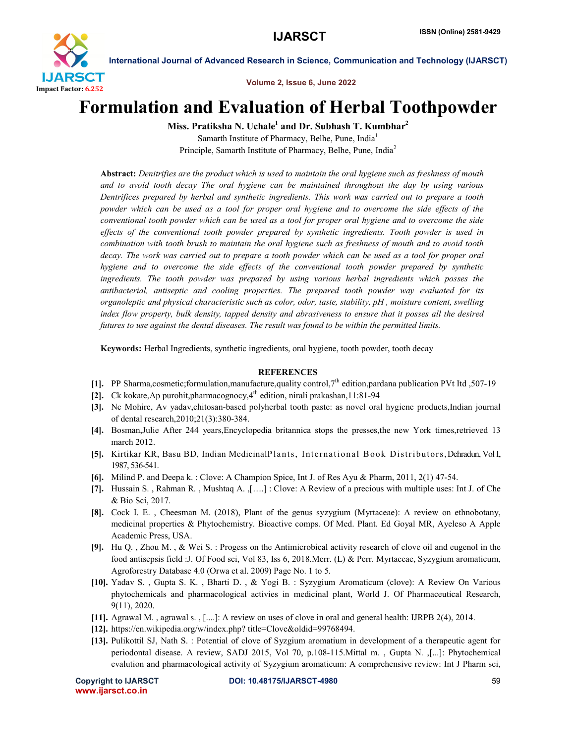

International Journal of Advanced Research in Science, Communication and Technology (IJARSCT)

Volume 2, Issue 6, June 2022

# Formulation and Evaluation of Herbal Toothpowder

Miss. Pratiksha N. Uchale<sup>1</sup> and Dr. Subhash T. Kumbhar<sup>2</sup>

Samarth Institute of Pharmacy, Belhe, Pune, India<sup>1</sup> Principle, Samarth Institute of Pharmacy, Belhe, Pune, India<sup>2</sup>

Abstract: *Denitrifies are the product which is used to maintain the oral hygiene such as freshness of mouth and to avoid tooth decay The oral hygiene can be maintained throughout the day by using various Dentrifices prepared by herbal and synthetic ingredients. This work was carried out to prepare a tooth powder which can be used as a tool for proper oral hygiene and to overcome the side effects of the conventional tooth powder which can be used as a tool for proper oral hygiene and to overcome the side effects of the conventional tooth powder prepared by synthetic ingredients. Tooth powder is used in combination with tooth brush to maintain the oral hygiene such as freshness of mouth and to avoid tooth decay. The work was carried out to prepare a tooth powder which can be used as a tool for proper oral hygiene and to overcome the side effects of the conventional tooth powder prepared by synthetic ingredients. The tooth powder was prepared by using various herbal ingredients which posses the antibacterial, antiseptic and cooling properties. The prepared tooth powder way evaluated for its organoleptic and physical characteristic such as color, odor, taste, stability, pH , moisture content, swelling index flow property, bulk density, tapped density and abrasiveness to ensure that it posses all the desired futures to use against the dental diseases. The result was found to be within the permitted limits.*

Keywords: Herbal Ingredients, synthetic ingredients, oral hygiene, tooth powder, tooth decay

### **REFERENCES**

- [1]. PP Sharma,cosmetic;formulation,manufacture,quality control, $7<sup>th</sup>$  edition,pardana publication PVt Itd ,507-19
- [2]. Ck kokate,Ap purohit,pharmacognocy, $4<sup>th</sup>$  edition, nirali prakashan,11:81-94
- [3]. Nc Mohire, Av yadav,chitosan-based polyherbal tooth paste: as novel oral hygiene products,Indian journal of dental research,2010;21(3):380-384.
- [4]. Bosman,Julie After 244 years,Encyclopedia britannica stops the presses,the new York times,retrieved 13 march 2012.
- [5]. Kirtikar KR, Basu BD, Indian MedicinalPlants, International Book Distributors, Dehradun, Vol I, 1987, 536-541.
- [6]. Milind P. and Deepa k. : Clove: A Champion Spice, Int J. of Res Ayu & Pharm, 2011, 2(1) 47-54.
- [7]. Hussain S., Rahman R., Mushtaq A., [...] : Clove: A Review of a precious with multiple uses: Int J. of Che & Bio Sci, 2017.
- [8]. Cock I. E. , Cheesman M. (2018), Plant of the genus syzygium (Myrtaceae): A review on ethnobotany, medicinal properties & Phytochemistry. Bioactive comps. Of Med. Plant. Ed Goyal MR, Ayeleso A Apple Academic Press, USA.
- [9]. Hu Q. , Zhou M. , & Wei S. : Progess on the Antimicrobical activity research of clove oil and eugenol in the food antisepsis field :J. Of Food sci, Vol 83, Iss 6, 2018.Merr. (L) & Perr. Myrtaceae, Syzygium aromaticum, Agroforestry Database 4.0 (Orwa et al. 2009) Page No. 1 to 5.
- [10]. Yadav S. , Gupta S. K. , Bharti D. , & Yogi B. : Syzygium Aromaticum (clove): A Review On Various phytochemicals and pharmacological activies in medicinal plant, World J. Of Pharmaceutical Research, 9(11), 2020.
- [11]. Agrawal M. , agrawal s. , [....]: A review on uses of clove in oral and general health: IJRPB 2(4), 2014.
- [12]. https://en.wikipedia.org/w/index.php? title=Clove&oldid=99768494.
- [13]. Pulikottil SJ, Nath S. : Potential of clove of Syzgium aromatium in development of a therapeutic agent for periodontal disease. A review, SADJ 2015, Vol 70, p.108-115.Mittal m. , Gupta N. ,[...]: Phytochemical evalution and pharmacological activity of Syzygium aromaticum: A comprehensive review: Int J Pharm sci,